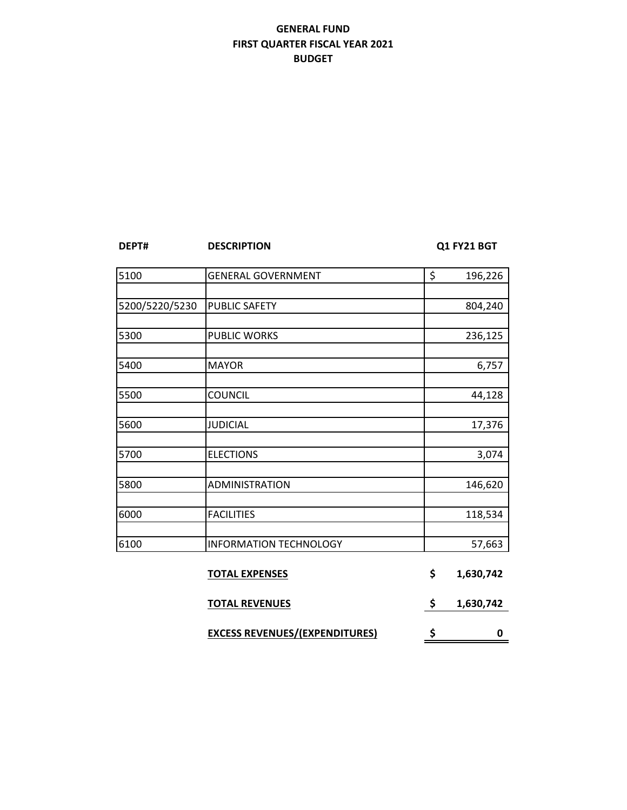## **GENERAL FUND FIRST QUARTER FISCAL YEAR 2021 BUDGET**

**DESCRIPTION Q1 FY21 BGT** 

| 5100           | <b>GENERAL GOVERNMENT</b>             | \$<br>196,226   |
|----------------|---------------------------------------|-----------------|
|                |                                       |                 |
| 5200/5220/5230 | PUBLIC SAFETY                         | 804,240         |
|                |                                       |                 |
| 5300           | PUBLIC WORKS                          | 236,125         |
|                |                                       |                 |
| 5400           | <b>MAYOR</b>                          | 6,757           |
|                |                                       |                 |
| 5500           | <b>COUNCIL</b>                        | 44,128          |
|                |                                       |                 |
| 5600           | <b>JUDICIAL</b>                       | 17,376          |
| 5700           | <b>ELECTIONS</b>                      | 3,074           |
|                |                                       |                 |
| 5800           | ADMINISTRATION                        | 146,620         |
|                |                                       |                 |
| 6000           | <b>FACILITIES</b>                     | 118,534         |
|                |                                       |                 |
| 6100           | <b>INFORMATION TECHNOLOGY</b>         | 57,663          |
|                |                                       |                 |
|                | <b>TOTAL EXPENSES</b>                 | \$<br>1,630,742 |
|                | <b>TOTAL REVENUES</b>                 | \$<br>1,630,742 |
|                | <b>EXCESS REVENUES/(EXPENDITURES)</b> | \$<br>0         |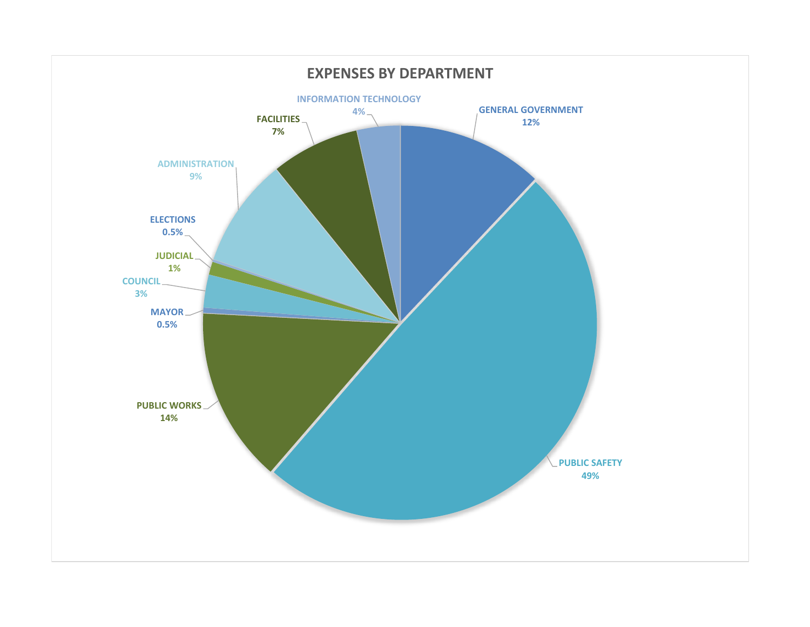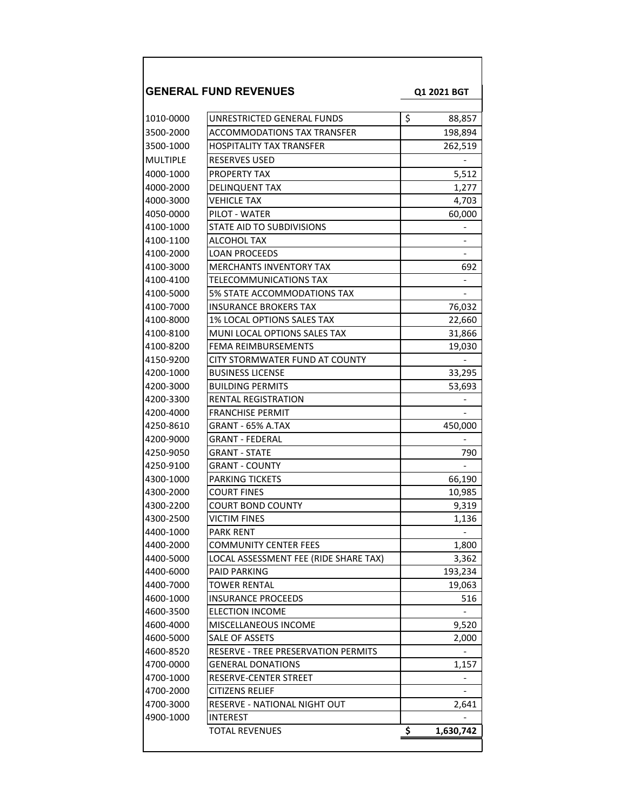|                 | <b>GENERAL FUND REVENUES</b>          | Q1 2021 BGT              |
|-----------------|---------------------------------------|--------------------------|
| 1010-0000       | UNRESTRICTED GENERAL FUNDS            | \$<br>88,857             |
| 3500-2000       | ACCOMMODATIONS TAX TRANSFER           | 198,894                  |
| 3500-1000       | <b>HOSPITALITY TAX TRANSFER</b>       | 262,519                  |
| <b>MULTIPLE</b> | <b>RESERVES USED</b>                  |                          |
| 4000-1000       | PROPERTY TAX                          | 5,512                    |
| 4000-2000       | DELINQUENT TAX                        | 1,277                    |
| 4000-3000       | <b>VEHICLE TAX</b>                    | 4,703                    |
| 4050-0000       | PILOT - WATER                         | 60,000                   |
| 4100-1000       | STATE AID TO SUBDIVISIONS             |                          |
| 4100-1100       | ALCOHOL TAX                           | $\overline{\phantom{0}}$ |
| 4100-2000       | <b>LOAN PROCEEDS</b>                  |                          |
| 4100-3000       | <b>MERCHANTS INVENTORY TAX</b>        | 692                      |
| 4100-4100       | <b>TELECOMMUNICATIONS TAX</b>         |                          |
| 4100-5000       | 5% STATE ACCOMMODATIONS TAX           |                          |
| 4100-7000       | <b>INSURANCE BROKERS TAX</b>          | 76,032                   |
| 4100-8000       | 1% LOCAL OPTIONS SALES TAX            | 22,660                   |
| 4100-8100       | MUNI LOCAL OPTIONS SALES TAX          | 31,866                   |
| 4100-8200       | FEMA REIMBURSEMENTS                   | 19,030                   |
| 4150-9200       | CITY STORMWATER FUND AT COUNTY        |                          |
| 4200-1000       | <b>BUSINESS LICENSE</b>               | 33,295                   |
| 4200-3000       | <b>BUILDING PERMITS</b>               | 53,693                   |
| 4200-3300       | RENTAL REGISTRATION                   |                          |
| 4200-4000       | <b>FRANCHISE PERMIT</b>               |                          |
| 4250-8610       | GRANT - 65% A.TAX                     | 450,000                  |
| 4200-9000       | GRANT - FEDERAL                       |                          |
| 4250-9050       | GRANT - STATE                         | 790                      |
| 4250-9100       | <b>GRANT - COUNTY</b>                 |                          |
| 4300-1000       | PARKING TICKETS                       | 66,190                   |
| 4300-2000       | <b>COURT FINES</b>                    | 10,985                   |
| 4300-2200       | <b>COURT BOND COUNTY</b>              | 9,319                    |
| 4300-2500       | VICTIM FINES                          | 1,136                    |
| 4400-1000       | <b>PARK RENT</b>                      | -                        |
| 4400-2000       | COMMUNITY CENTER FEES                 | 1,800                    |
| 4400-5000       | LOCAL ASSESSMENT FEE (RIDE SHARE TAX) | 3,362                    |
| 4400-6000       | <b>PAID PARKING</b>                   | 193,234                  |
| 4400-7000       | TOWER RENTAL                          | 19,063                   |
| 4600-1000       | <b>INSURANCE PROCEEDS</b>             | 516                      |
| 4600-3500       | <b>ELECTION INCOME</b>                |                          |
| 4600-4000       | MISCELLANEOUS INCOME                  | 9,520                    |
| 4600-5000       | SALE OF ASSETS                        | 2,000                    |
| 4600-8520       | RESERVE - TREE PRESERVATION PERMITS   |                          |
| 4700-0000       | <b>GENERAL DONATIONS</b>              | 1,157                    |
| 4700-1000       | RESERVE-CENTER STREET                 |                          |
| 4700-2000       | CITIZENS RELIEF                       |                          |
| 4700-3000       | RESERVE - NATIONAL NIGHT OUT          | 2,641                    |
| 4900-1000       | <b>INTEREST</b>                       |                          |
|                 | <b>TOTAL REVENUES</b>                 | \$<br>1,630,742          |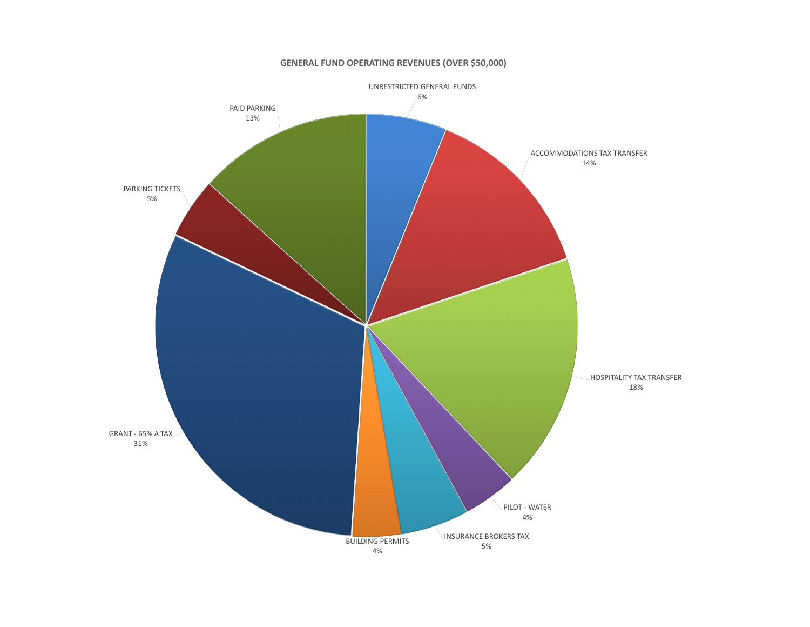

## **GENERAL FUND OPERATING REVENUES (OVER \$50,000)**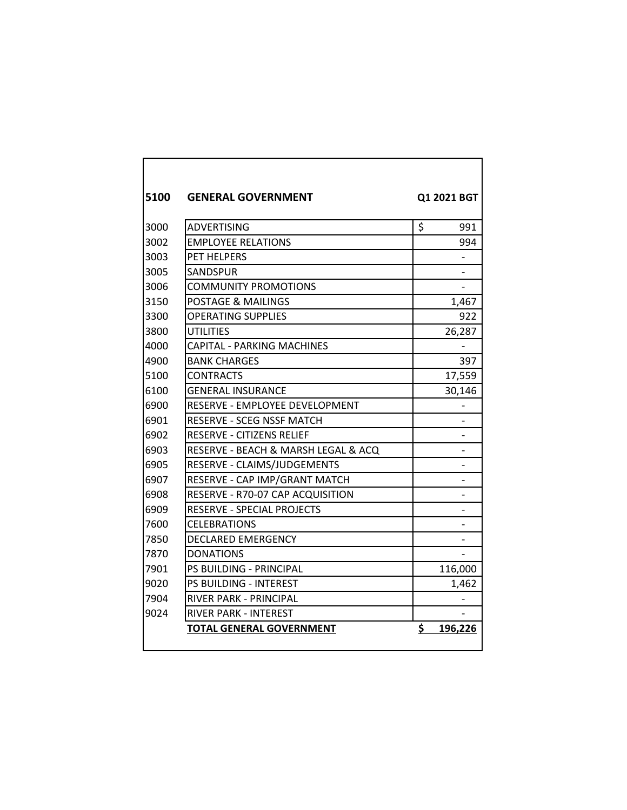| 5100 | <b>GENERAL GOVERNMENT</b>           | Q1 2021 BGT   |
|------|-------------------------------------|---------------|
| 3000 | <b>ADVERTISING</b>                  | \$<br>991     |
| 3002 | <b>EMPLOYEE RELATIONS</b>           | 994           |
| 3003 | PET HELPERS                         |               |
| 3005 | <b>SANDSPUR</b>                     |               |
| 3006 | <b>COMMUNITY PROMOTIONS</b>         |               |
| 3150 | <b>POSTAGE &amp; MAILINGS</b>       | 1,467         |
| 3300 | <b>OPERATING SUPPLIES</b>           | 922           |
| 3800 | UTILITIES                           | 26,287        |
| 4000 | <b>CAPITAL - PARKING MACHINES</b>   |               |
| 4900 | <b>BANK CHARGES</b>                 | 397           |
| 5100 | CONTRACTS                           | 17,559        |
| 6100 | <b>GENERAL INSURANCE</b>            | 30,146        |
| 6900 | RESERVE - EMPLOYEE DEVELOPMENT      |               |
| 6901 | RESERVE - SCEG NSSF MATCH           |               |
| 6902 | RESERVE - CITIZENS RELIEF           |               |
| 6903 | RESERVE - BEACH & MARSH LEGAL & ACQ |               |
| 6905 | RESERVE - CLAIMS/JUDGEMENTS         |               |
| 6907 | RESERVE - CAP IMP/GRANT MATCH       |               |
| 6908 | RESERVE - R70-07 CAP ACQUISITION    |               |
| 6909 | RESERVE - SPECIAL PROJECTS          |               |
| 7600 | <b>CELEBRATIONS</b>                 |               |
| 7850 | <b>DECLARED EMERGENCY</b>           |               |
| 7870 | <b>DONATIONS</b>                    |               |
| 7901 | PS BUILDING - PRINCIPAL             | 116,000       |
| 9020 | <b>PS BUILDING - INTEREST</b>       | 1,462         |
| 7904 | RIVER PARK - PRINCIPAL              |               |
| 9024 | <b>RIVER PARK - INTEREST</b>        |               |
|      | <b>TOTAL GENERAL GOVERNMENT</b>     | \$<br>196,226 |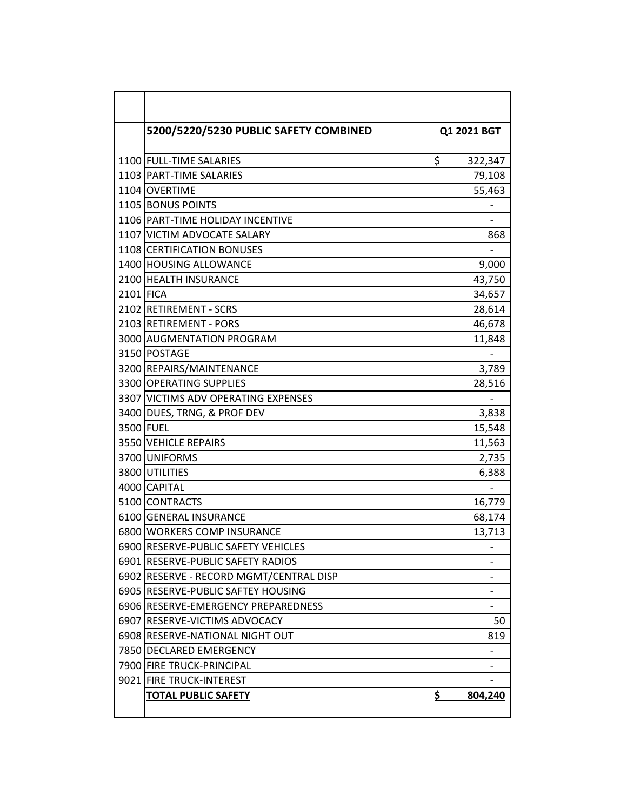|           | 5200/5220/5230 PUBLIC SAFETY COMBINED   | Q1 2021 BGT   |
|-----------|-----------------------------------------|---------------|
|           |                                         |               |
|           | 1100 FULL-TIME SALARIES                 | \$<br>322,347 |
|           | 1103 PART-TIME SALARIES                 | 79,108        |
|           | 1104 OVERTIME                           | 55,463        |
|           | 1105 BONUS POINTS                       |               |
|           | 1106 PART-TIME HOLIDAY INCENTIVE        |               |
|           | 1107 VICTIM ADVOCATE SALARY             | 868           |
|           | 1108 CERTIFICATION BONUSES              |               |
|           | 1400 HOUSING ALLOWANCE                  | 9,000         |
|           | 2100 HEALTH INSURANCE                   | 43,750        |
| 2101 FICA |                                         | 34,657        |
|           | 2102 RETIREMENT - SCRS                  | 28,614        |
|           | 2103 RETIREMENT - PORS                  | 46,678        |
|           | 3000 AUGMENTATION PROGRAM               | 11,848        |
|           | 3150 POSTAGE                            |               |
|           | 3200 REPAIRS/MAINTENANCE                | 3,789         |
|           | 3300 OPERATING SUPPLIES                 | 28,516        |
|           | 3307 VICTIMS ADV OPERATING EXPENSES     |               |
|           | 3400 DUES, TRNG, & PROF DEV             | 3,838         |
|           | 3500 FUEL                               | 15,548        |
|           | 3550 VEHICLE REPAIRS                    | 11,563        |
|           | 3700 UNIFORMS                           | 2,735         |
|           | 3800 UTILITIES                          | 6,388         |
|           | 4000 CAPITAL                            |               |
|           | 5100 CONTRACTS                          | 16,779        |
|           | 6100 GENERAL INSURANCE                  | 68,174        |
|           | 6800 WORKERS COMP INSURANCE             | 13,713        |
|           | 6900 RESERVE-PUBLIC SAFETY VEHICLES     |               |
|           | 6901 RESERVE-PUBLIC SAFETY RADIOS       |               |
|           | 6902 RESERVE - RECORD MGMT/CENTRAL DISP |               |
|           | 6905 RESERVE-PUBLIC SAFTEY HOUSING      |               |
|           | 6906 RESERVE-EMERGENCY PREPAREDNESS     |               |
|           | 6907 RESERVE-VICTIMS ADVOCACY           | 50            |
|           | 6908 RESERVE-NATIONAL NIGHT OUT         | 819           |
|           | 7850 DECLARED EMERGENCY                 | -             |
|           | 7900 FIRE TRUCK-PRINCIPAL               |               |
|           | 9021 FIRE TRUCK-INTEREST                |               |
|           | <b>TOTAL PUBLIC SAFETY</b>              | \$<br>804,240 |
|           |                                         |               |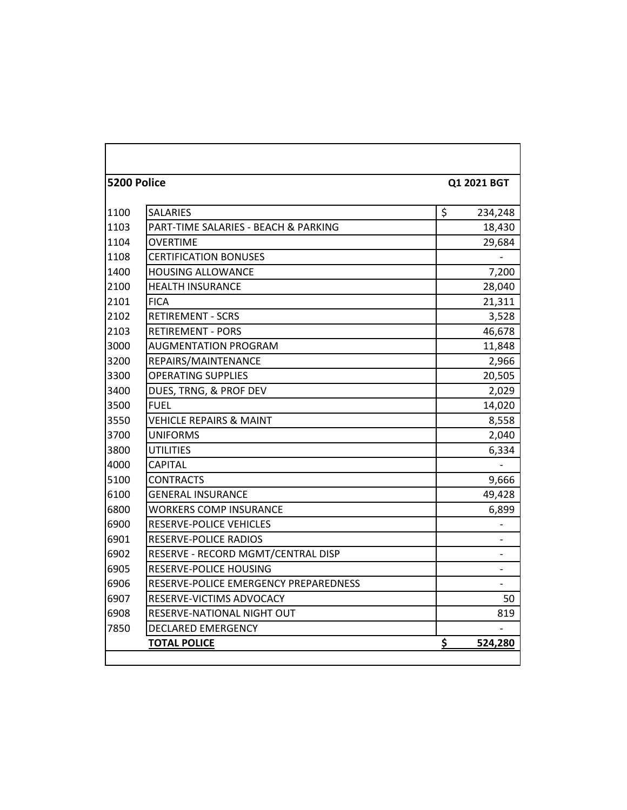| 5200 Police |                                       |                |
|-------------|---------------------------------------|----------------|
|             |                                       | Q1 2021 BGT    |
| 1100        | <b>SALARIES</b>                       | \$<br>234,248  |
| 1103        | PART-TIME SALARIES - BEACH & PARKING  | 18,430         |
| 1104        | <b>OVERTIME</b>                       | 29,684         |
| 1108        | <b>CERTIFICATION BONUSES</b>          |                |
| 1400        | <b>HOUSING ALLOWANCE</b>              | 7,200          |
| 2100        | <b>HEALTH INSURANCE</b>               | 28,040         |
| 2101        | <b>FICA</b>                           | 21,311         |
| 2102        | <b>RETIREMENT - SCRS</b>              | 3,528          |
| 2103        | <b>RETIREMENT - PORS</b>              | 46,678         |
| 3000        | <b>AUGMENTATION PROGRAM</b>           | 11,848         |
| 3200        | REPAIRS/MAINTENANCE                   | 2,966          |
| 3300        | <b>OPERATING SUPPLIES</b>             | 20,505         |
| 3400        | DUES, TRNG, & PROF DEV                | 2,029          |
| 3500        | <b>FUEL</b>                           | 14,020         |
| 3550        | <b>VEHICLE REPAIRS &amp; MAINT</b>    | 8,558          |
| 3700        | <b>UNIFORMS</b>                       | 2,040          |
| 3800        | <b>UTILITIES</b>                      | 6,334          |
| 4000        | <b>CAPITAL</b>                        |                |
| 5100        | <b>CONTRACTS</b>                      | 9,666          |
| 6100        | <b>GENERAL INSURANCE</b>              | 49,428         |
| 6800        | <b>WORKERS COMP INSURANCE</b>         | 6,899          |
| 6900        | RESERVE-POLICE VEHICLES               |                |
| 6901        | RESERVE-POLICE RADIOS                 |                |
| 6902        | RESERVE - RECORD MGMT/CENTRAL DISP    |                |
| 6905        | RESERVE-POLICE HOUSING                | $\overline{a}$ |
| 6906        | RESERVE-POLICE EMERGENCY PREPAREDNESS |                |
| 6907        | RESERVE-VICTIMS ADVOCACY              | 50             |
| 6908        | RESERVE-NATIONAL NIGHT OUT            | 819            |
| 7850        | <b>DECLARED EMERGENCY</b>             |                |
|             | <b>TOTAL POLICE</b>                   | \$<br>524,280  |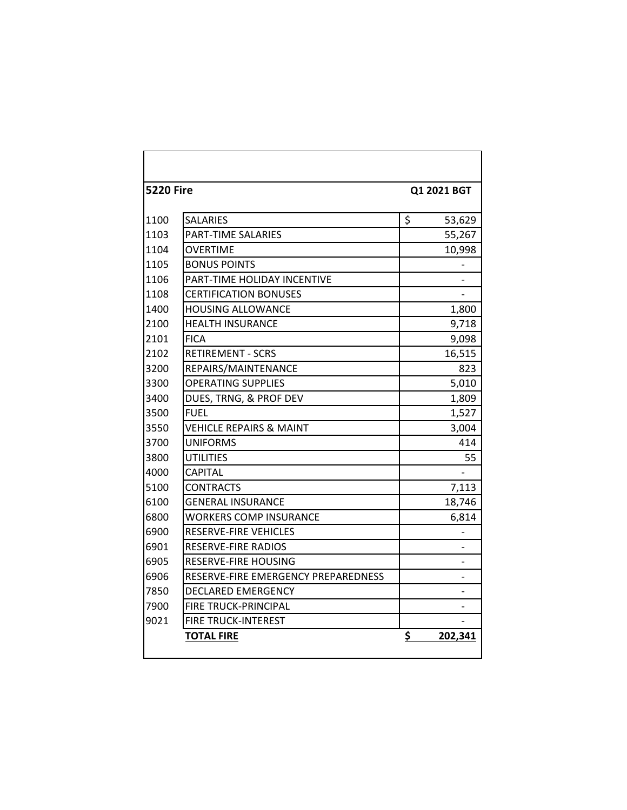| <b>5220 Fire</b> |                                     | Q1 2021 BGT |         |
|------------------|-------------------------------------|-------------|---------|
|                  |                                     |             |         |
| 1100             | <b>SALARIES</b>                     | \$          | 53,629  |
| 1103             | <b>PART-TIME SALARIES</b>           |             | 55,267  |
| 1104             | <b>OVERTIME</b>                     |             | 10,998  |
| 1105             | <b>BONUS POINTS</b>                 |             |         |
| 1106             | PART-TIME HOLIDAY INCENTIVE         |             |         |
| 1108             | <b>CERTIFICATION BONUSES</b>        |             |         |
| 1400             | <b>HOUSING ALLOWANCE</b>            |             | 1,800   |
| 2100             | <b>HEALTH INSURANCE</b>             |             | 9,718   |
| 2101             | <b>FICA</b>                         |             | 9,098   |
| 2102             | <b>RETIREMENT - SCRS</b>            |             | 16,515  |
| 3200             | REPAIRS/MAINTENANCE                 |             | 823     |
| 3300             | <b>OPERATING SUPPLIES</b>           |             | 5,010   |
| 3400             | DUES, TRNG, & PROF DEV              |             | 1,809   |
| 3500             | <b>FUEL</b>                         |             | 1,527   |
| 3550             | VEHICLE REPAIRS & MAINT             |             | 3,004   |
| 3700             | <b>UNIFORMS</b>                     |             | 414     |
| 3800             | <b>UTILITIES</b>                    |             | 55      |
| 4000             | <b>CAPITAL</b>                      |             |         |
| 5100             | <b>CONTRACTS</b>                    |             | 7,113   |
| 6100             | <b>GENERAL INSURANCE</b>            |             | 18,746  |
| 6800             | <b>WORKERS COMP INSURANCE</b>       |             | 6,814   |
| 6900             | RESERVE-FIRE VEHICLES               |             |         |
| 6901             | <b>RESERVE-FIRE RADIOS</b>          |             |         |
| 6905             | <b>RESERVE-FIRE HOUSING</b>         |             |         |
| 6906             | RESERVE-FIRE EMERGENCY PREPAREDNESS |             |         |
| 7850             | DECLARED EMERGENCY                  |             |         |
| 7900             | <b>FIRE TRUCK-PRINCIPAL</b>         |             |         |
| 9021             | <b>FIRE TRUCK-INTEREST</b>          |             |         |
|                  | <b>TOTAL FIRE</b>                   | \$          | 202,341 |
|                  |                                     |             |         |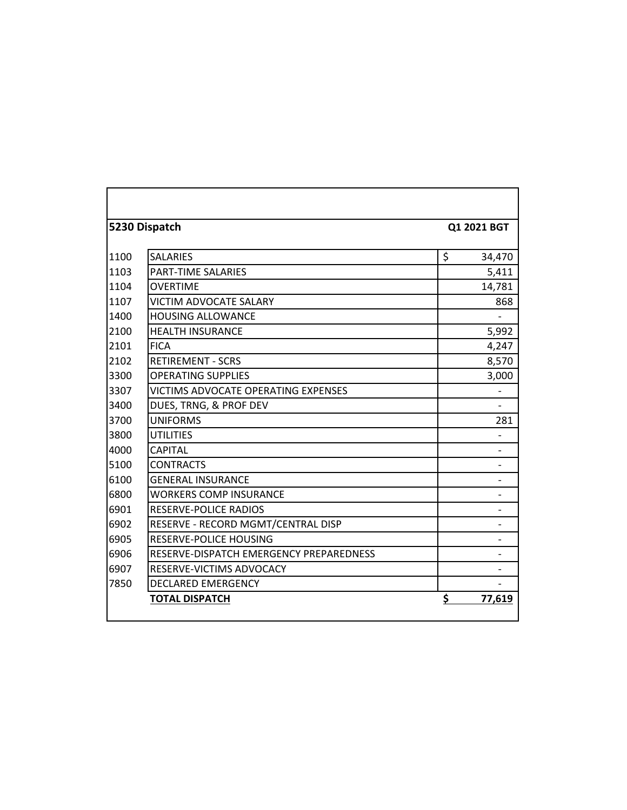|      | 5230 Dispatch                           | Q1 2021 BGT    |
|------|-----------------------------------------|----------------|
| 1100 | <b>SALARIES</b>                         | \$<br>34,470   |
| 1103 | PART-TIME SALARIES                      | 5,411          |
| 1104 | <b>OVERTIME</b>                         | 14,781         |
| 1107 | <b>VICTIM ADVOCATE SALARY</b>           | 868            |
| 1400 | <b>HOUSING ALLOWANCE</b>                |                |
| 2100 | <b>HEALTH INSURANCE</b>                 | 5,992          |
| 2101 | <b>FICA</b>                             | 4,247          |
| 2102 | <b>RETIREMENT - SCRS</b>                | 8,570          |
| 3300 | <b>OPERATING SUPPLIES</b>               | 3,000          |
| 3307 | VICTIMS ADVOCATE OPERATING EXPENSES     |                |
| 3400 | DUES, TRNG, & PROF DEV                  |                |
| 3700 | <b>UNIFORMS</b>                         | 281            |
| 3800 | <b>UTILITIES</b>                        |                |
| 4000 | <b>CAPITAL</b>                          |                |
| 5100 | <b>CONTRACTS</b>                        |                |
| 6100 | <b>GENERAL INSURANCE</b>                |                |
| 6800 | <b>WORKERS COMP INSURANCE</b>           |                |
| 6901 | RESERVE-POLICE RADIOS                   | $\overline{a}$ |
| 6902 | RESERVE - RECORD MGMT/CENTRAL DISP      |                |
| 6905 | <b>RESERVE-POLICE HOUSING</b>           |                |
| 6906 | RESERVE-DISPATCH EMERGENCY PREPAREDNESS |                |
| 6907 | RESERVE-VICTIMS ADVOCACY                |                |
| 7850 | <b>DECLARED EMERGENCY</b>               |                |
|      | <b>TOTAL DISPATCH</b>                   | \$<br>77,619   |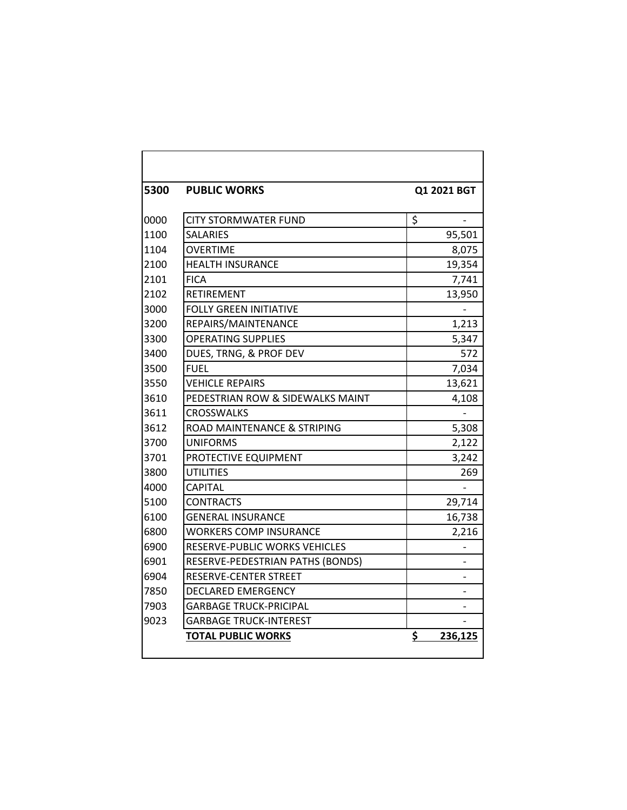| 5300 | <b>PUBLIC WORKS</b>              | Q1 2021 BGT   |
|------|----------------------------------|---------------|
| 0000 | CITY STORMWATER FUND             | \$            |
| 1100 | <b>SALARIES</b>                  | 95,501        |
| 1104 | <b>OVERTIME</b>                  | 8,075         |
| 2100 | <b>HEALTH INSURANCE</b>          | 19,354        |
| 2101 | <b>FICA</b>                      | 7,741         |
| 2102 | <b>RETIREMENT</b>                | 13,950        |
| 3000 | <b>FOLLY GREEN INITIATIVE</b>    |               |
| 3200 | REPAIRS/MAINTENANCE              | 1,213         |
| 3300 | <b>OPERATING SUPPLIES</b>        | 5,347         |
| 3400 | DUES, TRNG, & PROF DEV           | 572           |
| 3500 | <b>FUEL</b>                      | 7,034         |
| 3550 | <b>VEHICLE REPAIRS</b>           | 13,621        |
| 3610 | PEDESTRIAN ROW & SIDEWALKS MAINT | 4,108         |
| 3611 | <b>CROSSWALKS</b>                |               |
| 3612 | ROAD MAINTENANCE & STRIPING      | 5,308         |
| 3700 | <b>UNIFORMS</b>                  | 2,122         |
| 3701 | PROTECTIVE EQUIPMENT             | 3,242         |
| 3800 | UTILITIES                        | 269           |
| 4000 | <b>CAPITAL</b>                   |               |
| 5100 | <b>CONTRACTS</b>                 | 29,714        |
| 6100 | <b>GENERAL INSURANCE</b>         | 16,738        |
| 6800 | <b>WORKERS COMP INSURANCE</b>    | 2,216         |
| 6900 | RESERVE-PUBLIC WORKS VEHICLES    |               |
| 6901 | RESERVE-PEDESTRIAN PATHS (BONDS) |               |
| 6904 | RESERVE-CENTER STREET            |               |
| 7850 | <b>DECLARED EMERGENCY</b>        |               |
| 7903 | <b>GARBAGE TRUCK-PRICIPAL</b>    |               |
| 9023 | <b>GARBAGE TRUCK-INTEREST</b>    |               |
|      | <b>TOTAL PUBLIC WORKS</b>        | \$<br>236,125 |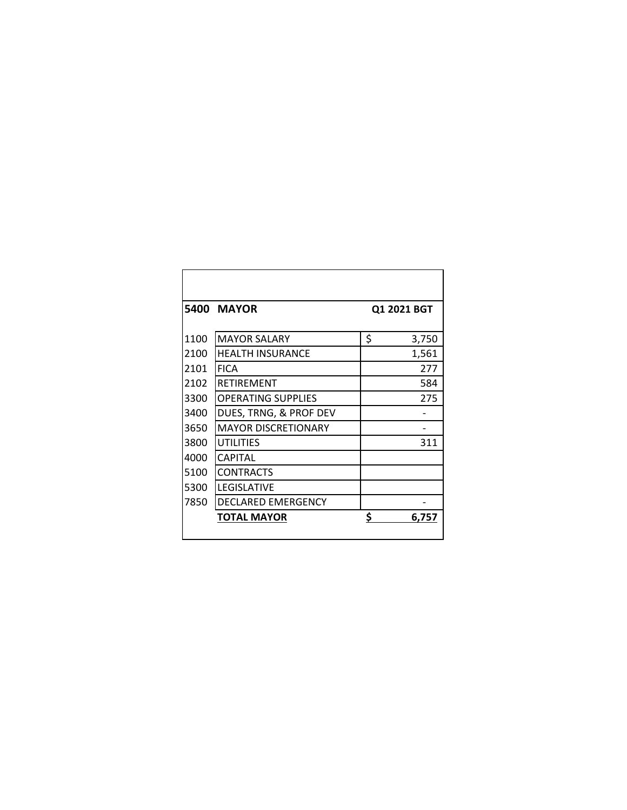|      | <b>5400 MAYOR</b>          | Q1 2021 BGT |       |
|------|----------------------------|-------------|-------|
|      |                            |             |       |
| 1100 | <b>MAYOR SALARY</b>        | \$          | 3,750 |
| 2100 | <b>HEALTH INSURANCE</b>    |             | 1,561 |
| 2101 | <b>FICA</b>                |             | 277   |
| 2102 | <b>RETIREMENT</b>          |             | 584   |
| 3300 | <b>OPERATING SUPPLIES</b>  |             | 275   |
| 3400 | DUES, TRNG, & PROF DEV     |             |       |
| 3650 | <b>MAYOR DISCRETIONARY</b> |             |       |
| 3800 | <b>UTILITIES</b>           |             | 311   |
| 4000 | <b>CAPITAL</b>             |             |       |
| 5100 | <b>CONTRACTS</b>           |             |       |
| 5300 | <b>LEGISLATIVE</b>         |             |       |
| 7850 | DECLARED EMERGENCY         |             |       |
|      | <b>TOTAL MAYOR</b>         | Ś           | 6.757 |
|      |                            |             |       |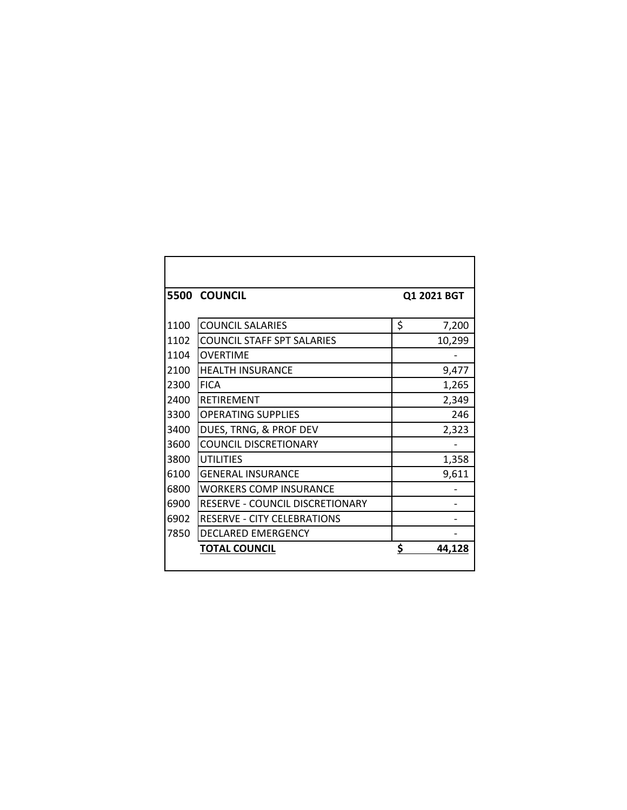|      | <b>5500 COUNCIL</b>                | Q1 2021 BGT  |
|------|------------------------------------|--------------|
| 1100 | <b>COUNCIL SALARIES</b>            | \$<br>7,200  |
| 1102 | <b>COUNCIL STAFF SPT SALARIES</b>  | 10,299       |
| 1104 | <b>OVERTIME</b>                    |              |
| 2100 | <b>HEALTH INSURANCE</b>            | 9,477        |
| 2300 | <b>FICA</b>                        | 1,265        |
| 2400 | <b>RETIREMENT</b>                  | 2,349        |
| 3300 | <b>OPERATING SUPPLIES</b>          | 246          |
| 3400 | DUES, TRNG, & PROF DEV             | 2,323        |
| 3600 | <b>COUNCIL DISCRETIONARY</b>       |              |
| 3800 | <b>UTILITIES</b>                   | 1,358        |
| 6100 | <b>GENERAL INSURANCE</b>           | 9,611        |
| 6800 | <b>WORKERS COMP INSURANCE</b>      |              |
| 6900 | RESERVE - COUNCIL DISCRETIONARY    |              |
| 6902 | <b>RESERVE - CITY CELEBRATIONS</b> |              |
| 7850 | DECLARED EMERGENCY                 |              |
|      | <b>TOTAL COUNCIL</b>               | \$<br>44.128 |
|      |                                    |              |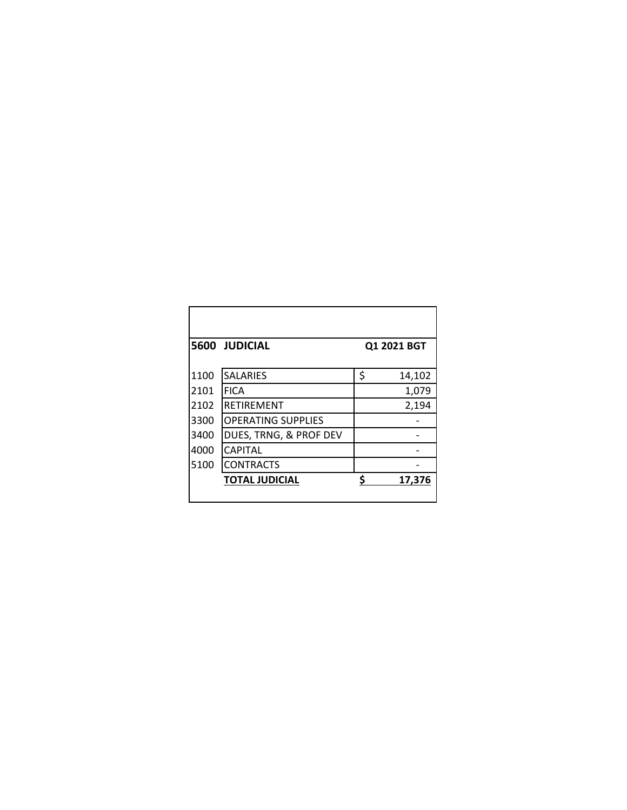|      | 5600 JUDICIAL             |    | Q1 2021 BGT |
|------|---------------------------|----|-------------|
| 1100 | <b>SALARIES</b>           | \$ | 14,102      |
| 2101 | <b>FICA</b>               |    | 1,079       |
| 2102 | <b>RETIREMENT</b>         |    | 2,194       |
| 3300 | <b>OPERATING SUPPLIES</b> |    |             |
| 3400 | DUES, TRNG, & PROF DEV    |    |             |
| 4000 | <b>CAPITAL</b>            |    |             |
| 5100 | <b>CONTRACTS</b>          |    |             |
|      | <b>TOTAL JUDICIAL</b>     | Ś  | 17,376      |
|      |                           |    |             |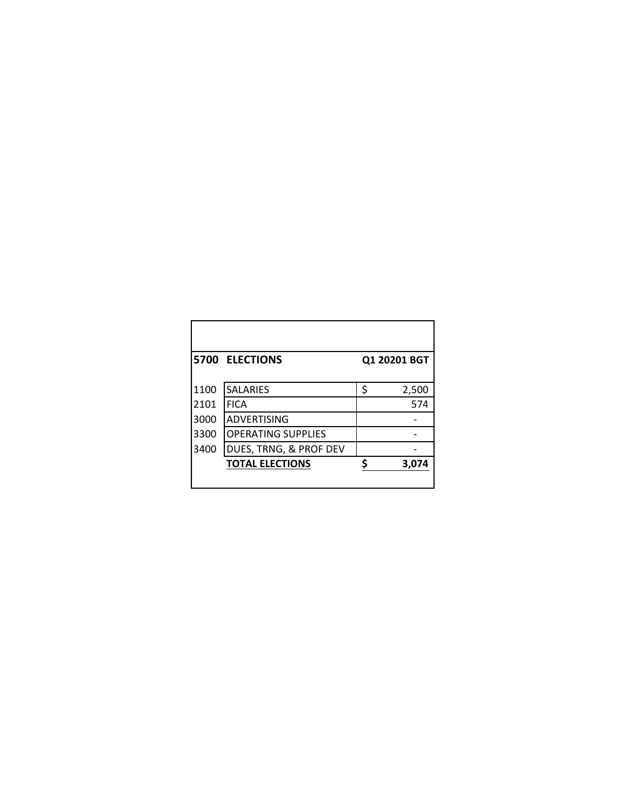|      | 5700 ELECTIONS            | Q1 20201 BGT |       |  |
|------|---------------------------|--------------|-------|--|
|      |                           |              |       |  |
| 1100 | <b>SALARIES</b>           | \$           | 2,500 |  |
| 2101 | <b>FICA</b>               |              | 574   |  |
| 3000 | <b>ADVERTISING</b>        |              |       |  |
| 3300 | <b>OPERATING SUPPLIES</b> |              |       |  |
| 3400 | DUES, TRNG, & PROF DEV    |              |       |  |
|      | <b>TOTAL ELECTIONS</b>    |              | 3,074 |  |
|      |                           |              |       |  |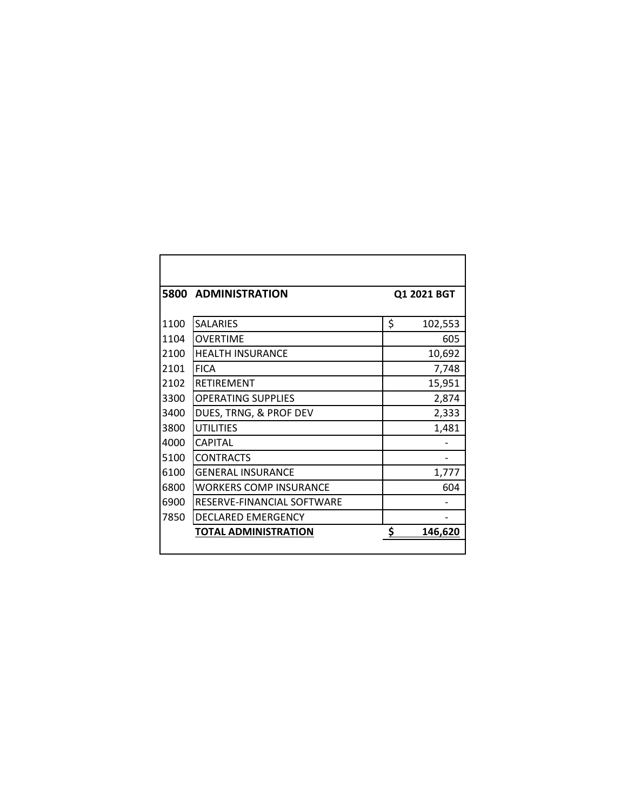| 5800 | <b>ADMINISTRATION</b>         | Q1 2021 BGT |         |  |
|------|-------------------------------|-------------|---------|--|
|      |                               |             |         |  |
| 1100 | <b>SALARIES</b>               | \$          | 102,553 |  |
| 1104 | <b>OVERTIME</b>               |             | 605     |  |
| 2100 | <b>HEALTH INSURANCE</b>       |             | 10,692  |  |
| 2101 | <b>FICA</b>                   |             | 7,748   |  |
| 2102 | <b>RETIREMENT</b>             |             | 15,951  |  |
| 3300 | <b>OPERATING SUPPLIES</b>     |             | 2,874   |  |
| 3400 | DUES, TRNG, & PROF DEV        |             | 2,333   |  |
| 3800 | <b>UTILITIES</b>              |             | 1,481   |  |
| 4000 | <b>CAPITAL</b>                |             |         |  |
| 5100 | <b>CONTRACTS</b>              |             |         |  |
| 6100 | <b>GENERAL INSURANCE</b>      |             | 1,777   |  |
| 6800 | <b>WORKERS COMP INSURANCE</b> |             | 604     |  |
| 6900 | RESERVE-FINANCIAL SOFTWARE    |             |         |  |
| 7850 | <b>DECLARED EMERGENCY</b>     |             |         |  |
|      | TOTAL ADMINISTRATION          | \$          | 146,620 |  |
|      |                               |             |         |  |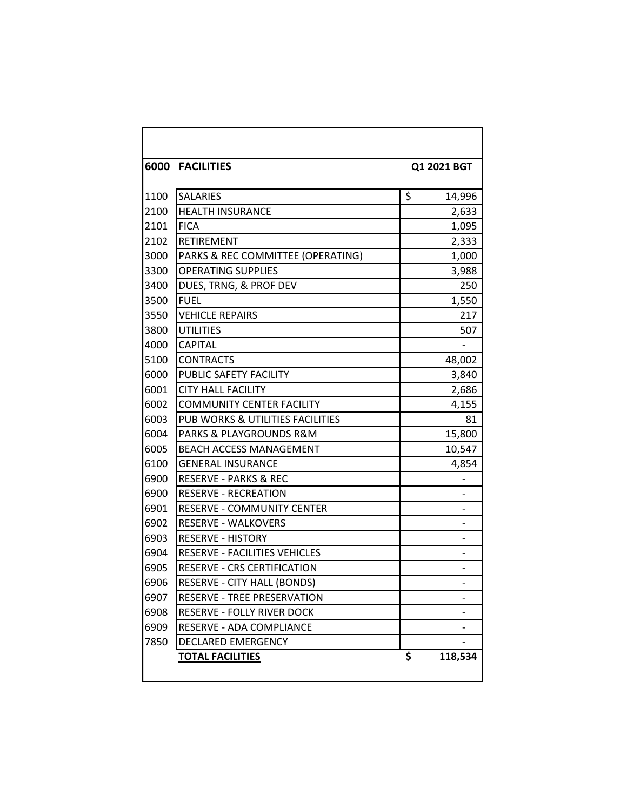|      | <b>6000 FACILITIES</b><br>Q1 2021 BGT |    |                              |  |  |  |  |
|------|---------------------------------------|----|------------------------------|--|--|--|--|
| 1100 | <b>SALARIES</b>                       | \$ | 14,996                       |  |  |  |  |
| 2100 | <b>HEALTH INSURANCE</b>               |    | 2,633                        |  |  |  |  |
| 2101 | <b>FICA</b>                           |    | 1,095                        |  |  |  |  |
| 2102 | <b>RETIREMENT</b>                     |    | 2,333                        |  |  |  |  |
| 3000 | PARKS & REC COMMITTEE (OPERATING)     |    | 1,000                        |  |  |  |  |
| 3300 | <b>OPERATING SUPPLIES</b>             |    | 3,988                        |  |  |  |  |
| 3400 | DUES, TRNG, & PROF DEV                |    | 250                          |  |  |  |  |
| 3500 | <b>FUEL</b>                           |    | 1,550                        |  |  |  |  |
| 3550 | <b>VEHICLE REPAIRS</b>                |    | 217                          |  |  |  |  |
| 3800 | <b>UTILITIES</b>                      |    | 507                          |  |  |  |  |
| 4000 | <b>CAPITAL</b>                        |    |                              |  |  |  |  |
| 5100 | <b>CONTRACTS</b>                      |    | 48,002                       |  |  |  |  |
| 6000 | PUBLIC SAFETY FACILITY                |    | 3,840                        |  |  |  |  |
| 6001 | <b>CITY HALL FACILITY</b>             |    | 2,686                        |  |  |  |  |
| 6002 | <b>COMMUNITY CENTER FACILITY</b>      |    | 4,155                        |  |  |  |  |
| 6003 | PUB WORKS & UTILITIES FACILITIES      |    | 81                           |  |  |  |  |
| 6004 | PARKS & PLAYGROUNDS R&M               |    | 15,800                       |  |  |  |  |
| 6005 | BEACH ACCESS MANAGEMENT               |    | 10,547                       |  |  |  |  |
| 6100 | <b>GENERAL INSURANCE</b>              |    | 4,854                        |  |  |  |  |
| 6900 | <b>RESERVE - PARKS &amp; REC</b>      |    |                              |  |  |  |  |
| 6900 | <b>RESERVE - RECREATION</b>           |    |                              |  |  |  |  |
| 6901 | RESERVE - COMMUNITY CENTER            |    |                              |  |  |  |  |
| 6902 | <b>RESERVE - WALKOVERS</b>            |    | $\qquad \qquad \blacksquare$ |  |  |  |  |
| 6903 | <b>RESERVE - HISTORY</b>              |    |                              |  |  |  |  |
| 6904 | RESERVE - FACILITIES VEHICLES         |    | -                            |  |  |  |  |
| 6905 | RESERVE - CRS CERTIFICATION           |    |                              |  |  |  |  |
| 6906 | <b>RESERVE - CITY HALL (BONDS)</b>    |    |                              |  |  |  |  |
| 6907 | RESERVE - TREE PRESERVATION           |    |                              |  |  |  |  |
| 6908 | RESERVE - FOLLY RIVER DOCK            |    |                              |  |  |  |  |
| 6909 | RESERVE - ADA COMPLIANCE              |    |                              |  |  |  |  |
| 7850 | DECLARED EMERGENCY                    |    |                              |  |  |  |  |
|      | <b>TOTAL FACILITIES</b>               | \$ | 118,534                      |  |  |  |  |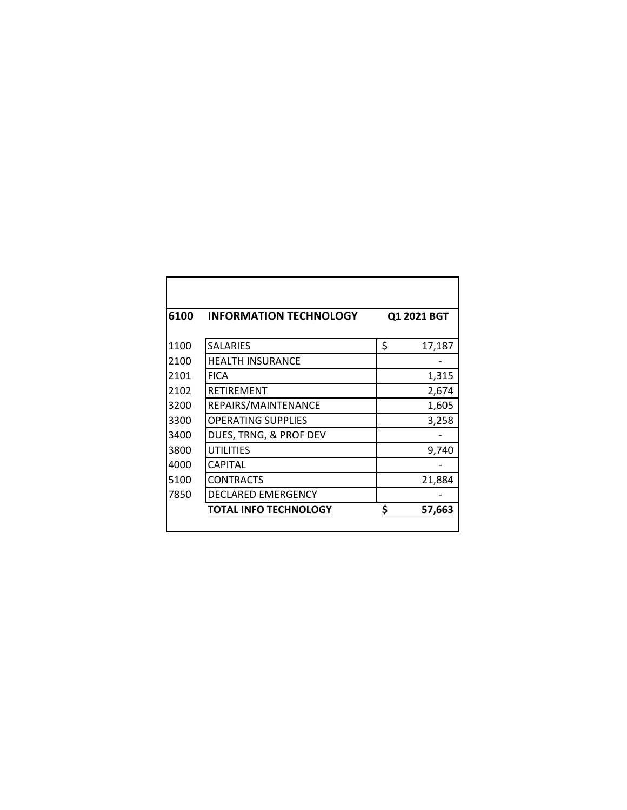| 6100 | <b>INFORMATION TECHNOLOGY</b> | Q1 2021 BGT  |  |  |  |
|------|-------------------------------|--------------|--|--|--|
| 1100 | <b>SALARIES</b>               | \$<br>17,187 |  |  |  |
| 2100 | <b>HEALTH INSURANCE</b>       |              |  |  |  |
| 2101 | <b>FICA</b>                   | 1,315        |  |  |  |
| 2102 | RETIREMENT                    | 2,674        |  |  |  |
| 3200 | REPAIRS/MAINTENANCE           | 1,605        |  |  |  |
| 3300 | <b>OPERATING SUPPLIES</b>     | 3,258        |  |  |  |
| 3400 | DUES, TRNG, & PROF DEV        |              |  |  |  |
| 3800 | <b>UTILITIES</b>              | 9,740        |  |  |  |
| 4000 | CAPITAL                       |              |  |  |  |
| 5100 | CONTRACTS                     | 21,884       |  |  |  |
| 7850 | DECLARED EMERGENCY            |              |  |  |  |
|      | <b>TOTAL INFO TECHNOLOGY</b>  | \$<br>57,663 |  |  |  |